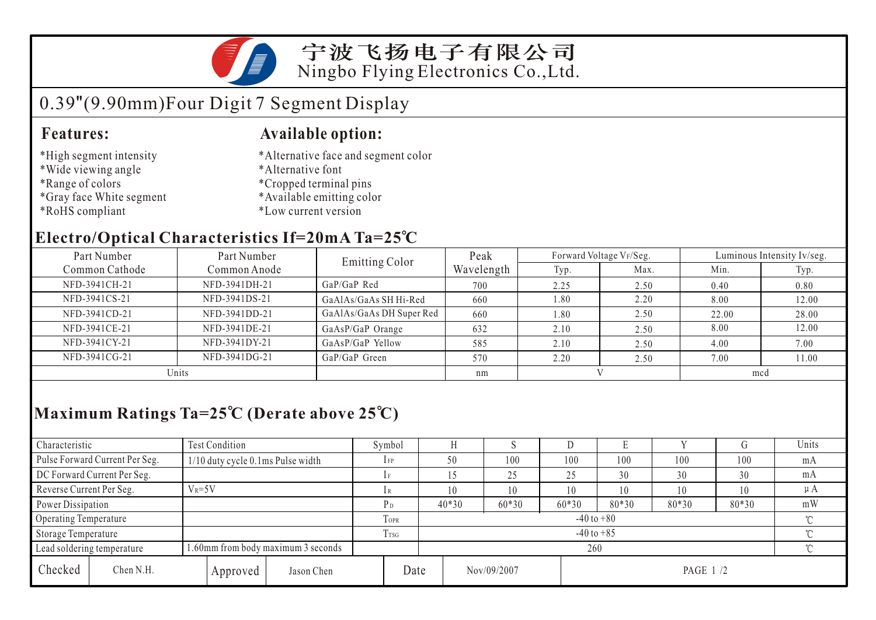

### 宁波飞扬电子有限公司 Ningbo Flying Electronics Co.,Ltd.

# 0.39"(9.90mm)Four Digit 7 Segment Display

#### **Features: Available option:**

- \*High segment intensity
- \*Wide viewing angle
- \*Range of colors
- \*Gray face White segment
- \*RoHS compliant
- \*Alternative face and segment color
- \*Alternative font
- \*Cropped terminal pins
- \*Available emitting color
- \*Low current version

### **Electro/Optical Characteristics If=20mA Ta=25 C**

| Part Number    | Part Number   | <b>Emitting Color</b>    | Peak       |      | Forward Voltage VF/Seg. | Luminous Intensity Iv/seg. |       |  |
|----------------|---------------|--------------------------|------------|------|-------------------------|----------------------------|-------|--|
| Common Cathode | Common Anode  |                          | Wavelength | Typ. | Max.                    | Min.                       | Typ.  |  |
| NFD-3941CH-21  | NFD-3941DH-21 | $GaP/GaP$ Red            | 700        | 2.25 | 2.50                    | 0.40                       | 0.80  |  |
| NFD-3941CS-21  | NFD-3941DS-21 | GaAlAs/GaAs SH Hi-Red    | 660        | 1.80 | 2.20                    | 8.00                       | 12.00 |  |
| NFD-3941CD-21  | NFD-3941DD-21 | GaAlAs/GaAs DH Super Red | 660        | 1.80 | 2.50                    | 22.00                      | 28.00 |  |
| NFD-3941CE-21  | NFD-3941DE-21 | GaAsP/GaP Orange         | 632        | 2.10 | 2.50                    | 8.00                       | 12.00 |  |
| NFD-3941CY-21  | NFD-3941DY-21 | GaAsP/GaP Yellow         | 585        | 2.10 | 2.50                    | 4.00                       | 7.00  |  |
| NFD-3941CG-21  | NFD-3941DG-21 | GaP/GaP Green            | 570        | 2.20 | 2.50                    | 7.00                       | 11.00 |  |
| Units          |               |                          | nm         |      |                         | mcd                        |       |  |

## **Maximum Ratings Ta=25 C (Derate above 25 C)**

| Characteristic                 |                                    | Test Condition                       |                 | Symbol  |                                  |         | ×.      |       | Е       |     |     | Units |
|--------------------------------|------------------------------------|--------------------------------------|-----------------|---------|----------------------------------|---------|---------|-------|---------|-----|-----|-------|
| Pulse Forward Current Per Seg. |                                    | $1/10$ duty cycle 0.1 ms Pulse width |                 | $1$ FP  |                                  | 50      | 100     | 100   | 100     | 100 | 100 | mA    |
| DC Forward Current Per Seg.    |                                    |                                      |                 |         |                                  |         | 25      | 25    | 30      | 30  | 30  | mA    |
| Reverse Current Per Seg.       | $V_R = 5V$                         |                                      | lR              |         | 10                               | 10      | 10      | 10    | 10      | 10  | μA  |       |
| Power Dissipation              |                                    | $P_D$                                |                 | $40*30$ | $60*30$                          | $60*30$ | $80*30$ | 80*30 | $80*30$ | mW  |     |       |
| Operating Temperature          |                                    |                                      | TOPR            |         | $-40$ to $+80$                   |         |         |       |         |     |     |       |
| Storage Temperature            |                                    |                                      | T <sub>sg</sub> |         | $-40$ to $+85$                   |         |         |       |         |     |     |       |
| Lead soldering temperature     | 1.60mm from body maximum 3 seconds |                                      |                 |         |                                  | 260     |         |       |         |     |     |       |
| Checked                        | Chen N.H.                          | Approved                             | Jason Chen      |         | Date<br>Nov/09/2007<br>PAGE 1 /2 |         |         |       |         |     |     |       |